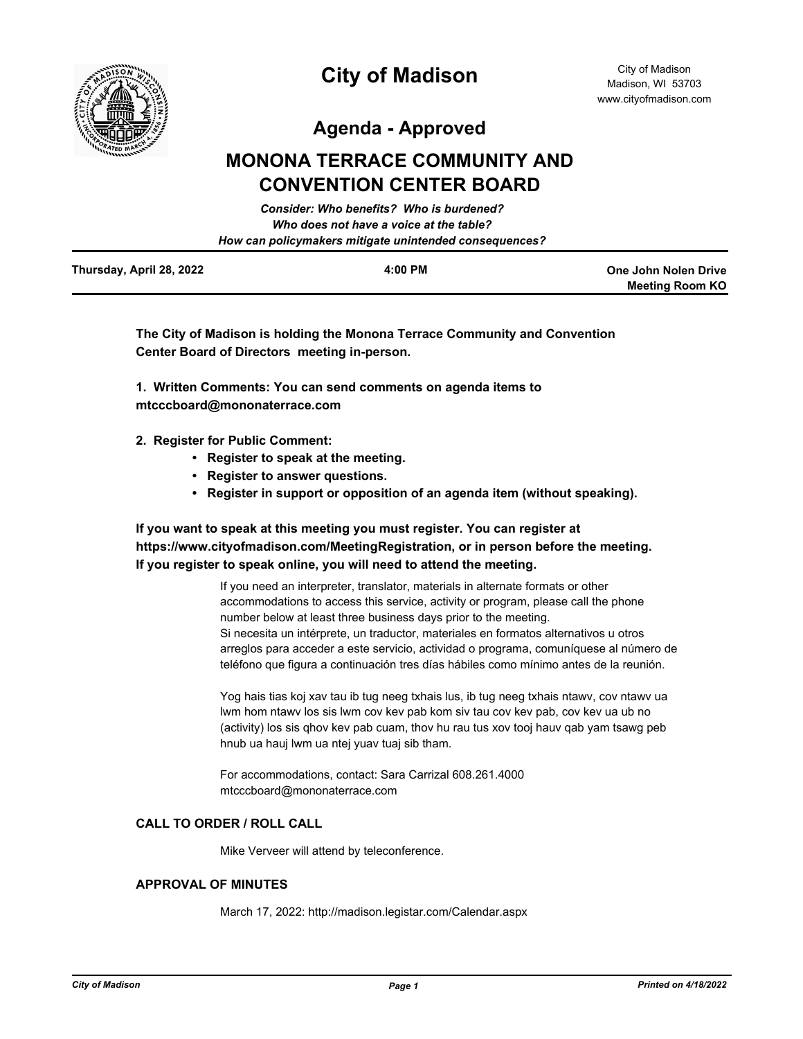

**Meeting Room KO**

**Agenda - Approved**

# **MONONA TERRACE COMMUNITY AND CONVENTION CENTER BOARD**

|                          | Consider: Who benefits? Who is burdened?               |                      |
|--------------------------|--------------------------------------------------------|----------------------|
|                          | Who does not have a voice at the table?                |                      |
|                          | How can policymakers mitigate unintended consequences? |                      |
| Thursday, April 28, 2022 | 4:00 PM                                                | One John Nolen Drive |

**The City of Madison is holding the Monona Terrace Community and Convention Center Board of Directors meeting in-person.**

**1. Written Comments: You can send comments on agenda items to mtcccboard@mononaterrace.com**

- **2. Register for Public Comment:** 
	- **Register to speak at the meeting.**
	- **Register to answer questions.**
	- **Register in support or opposition of an agenda item (without speaking).**

## **If you want to speak at this meeting you must register. You can register at https://www.cityofmadison.com/MeetingRegistration, or in person before the meeting. If you register to speak online, you will need to attend the meeting.**

If you need an interpreter, translator, materials in alternate formats or other accommodations to access this service, activity or program, please call the phone number below at least three business days prior to the meeting. Si necesita un intérprete, un traductor, materiales en formatos alternativos u otros arreglos para acceder a este servicio, actividad o programa, comuníquese al número de teléfono que figura a continuación tres días hábiles como mínimo antes de la reunión.

Yog hais tias koj xav tau ib tug neeg txhais lus, ib tug neeg txhais ntawv, cov ntawv ua lwm hom ntawv los sis lwm cov kev pab kom siv tau cov kev pab, cov kev ua ub no (activity) los sis qhov kev pab cuam, thov hu rau tus xov tooj hauv qab yam tsawg peb hnub ua hauj lwm ua ntej yuav tuaj sib tham.

For accommodations, contact: Sara Carrizal 608.261.4000 mtcccboard@mononaterrace.com

## **CALL TO ORDER / ROLL CALL**

Mike Verveer will attend by teleconference.

## **APPROVAL OF MINUTES**

March 17, 2022: http://madison.legistar.com/Calendar.aspx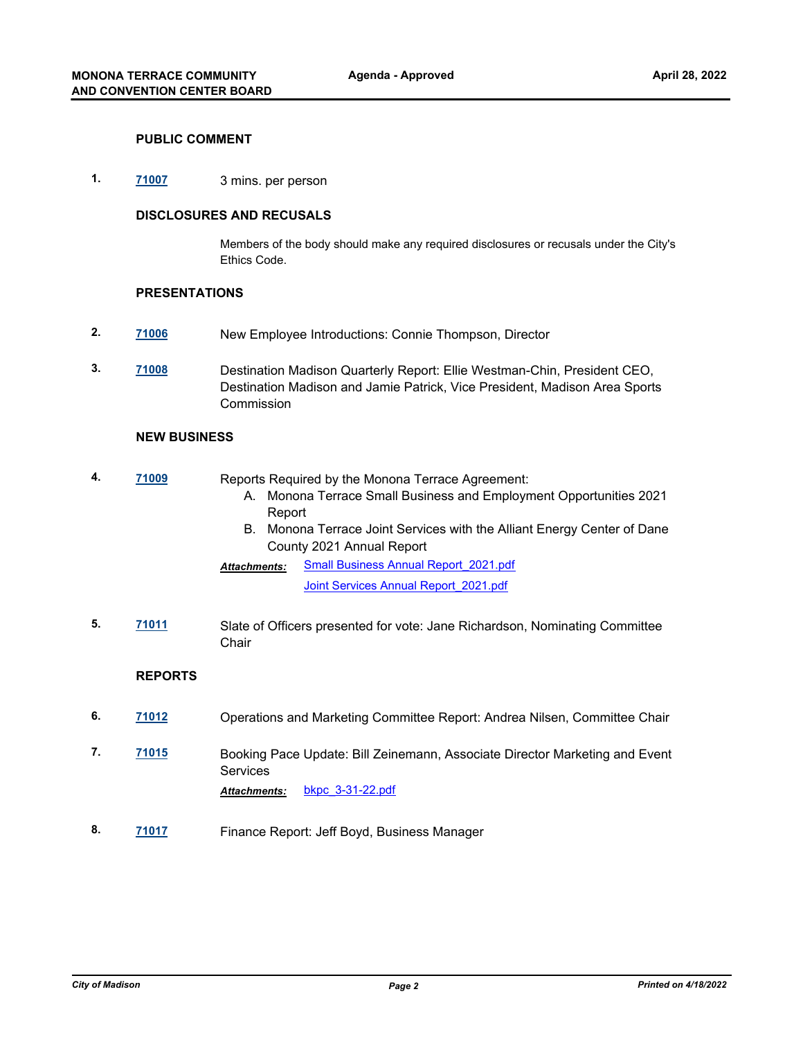#### **PUBLIC COMMENT**

**1. [71007](http://madison.legistar.com/gateway.aspx?m=l&id=/matter.aspx?key=82978)** 3 mins. per person

## **DISCLOSURES AND RECUSALS**

Members of the body should make any required disclosures or recusals under the City's Ethics Code.

#### **PRESENTATIONS**

- **2. [71006](http://madison.legistar.com/gateway.aspx?m=l&id=/matter.aspx?key=82977)** New Employee Introductions: Connie Thompson, Director
- **3. [71008](http://madison.legistar.com/gateway.aspx?m=l&id=/matter.aspx?key=82979)** Destination Madison Quarterly Report: Ellie Westman-Chin, President CEO, Destination Madison and Jamie Patrick, Vice President, Madison Area Sports Commission

#### **NEW BUSINESS**

**4. [71009](http://madison.legistar.com/gateway.aspx?m=l&id=/matter.aspx?key=82980)** Reports Required by the Monona Terrace Agreement: A. Monona Terrace Small Business and Employment Opportunities 2021 Report B. Monona Terrace Joint Services with the Alliant Energy Center of Dane County 2021 Annual Report [Small Business Annual Report\\_2021.pdf](http://madison.legistar.com/gateway.aspx?M=F&ID=e0a9298d-1545-4dbb-957d-8e4223a3f916.pdf) [Joint Services Annual Report\\_2021.pdf](http://madison.legistar.com/gateway.aspx?M=F&ID=9be27ce9-82fe-463f-a143-cf7283882db2.pdf) *Attachments:* **5. [71011](http://madison.legistar.com/gateway.aspx?m=l&id=/matter.aspx?key=82982)** Slate of Officers presented for vote: Jane Richardson, Nominating Committee **Chair REPORTS 6. [71012](http://madison.legistar.com/gateway.aspx?m=l&id=/matter.aspx?key=82983)** Operations and Marketing Committee Report: Andrea Nilsen, Committee Chair **7. [71015](http://madison.legistar.com/gateway.aspx?m=l&id=/matter.aspx?key=82986)** Booking Pace Update: Bill Zeinemann, Associate Director Marketing and Event **Services** *Attachments:* [bkpc\\_3-31-22.pdf](http://madison.legistar.com/gateway.aspx?M=F&ID=e8eecc97-e8d9-492c-924f-e6d266428e6f.pdf) **8. [71017](http://madison.legistar.com/gateway.aspx?m=l&id=/matter.aspx?key=82988)** Finance Report: Jeff Boyd, Business Manager